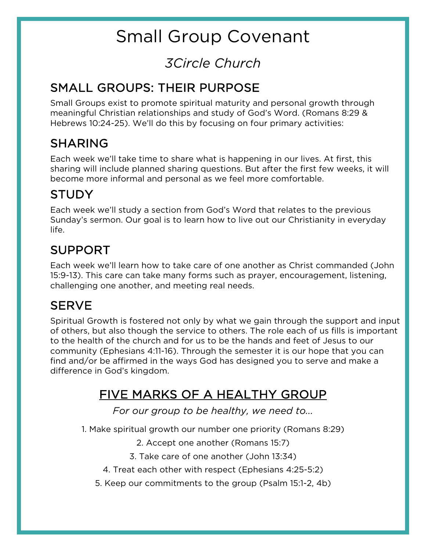# Small Group Covenant

## *3Circle Church*

#### SMALL GROUPS: THEIR PURPOSE

Small Groups exist to promote spiritual maturity and personal growth through meaningful Christian relationships and study of God's Word. (Romans 8:29 & Hebrews 10:24-25). We'll do this by focusing on four primary activities:

#### SHARING

Each week we'll take time to share what is happening in our lives. At first, this sharing will include planned sharing questions. But after the first few weeks, it will become more informal and personal as we feel more comfortable.

#### STUDY

Each week we'll study a section from God's Word that relates to the previous Sunday's sermon. Our goal is to learn how to live out our Christianity in everyday life.

#### SUPPORT

Each week we'll learn how to take care of one another as Christ commanded (John 15:9-13). This care can take many forms such as prayer, encouragement, listening, challenging one another, and meeting real needs.

#### **SERVE**

Spiritual Growth is fostered not only by what we gain through the support and input of others, but also though the service to others. The role each of us fills is important to the health of the church and for us to be the hands and feet of Jesus to our community (Ephesians 4:11-16). Through the semester it is our hope that you can find and/or be affirmed in the ways God has designed you to serve and make a difference in God's kingdom.

### FIVE MARKS OF A HEALTHY GROUP

*For our group to be healthy, we need to...*

1. Make spiritual growth our number one priority (Romans 8:29)

2. Accept one another (Romans 15:7)

- 3. Take care of one another (John 13:34)
- 4. Treat each other with respect (Ephesians 4:25-5:2)

5. Keep our commitments to the group (Psalm 15:1-2, 4b)